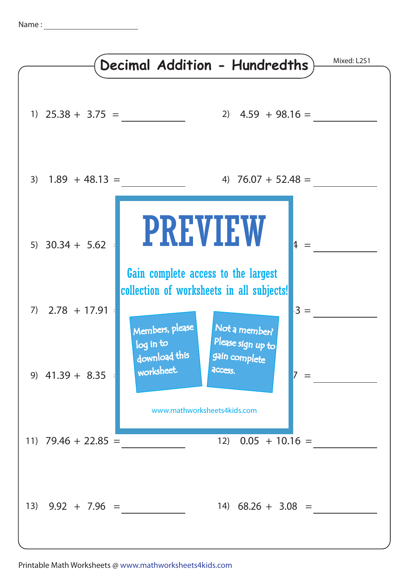